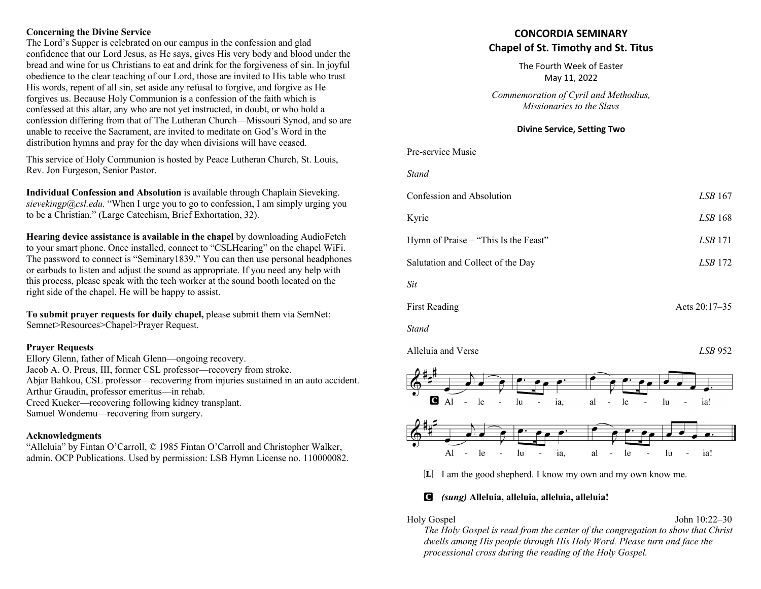## **Concerning the Divine Service**

The Lord's Supper is celebrated on our campus in the confession and glad confidence that our Lord Jesus, as He says, gives His very body and blood under the bread and wine for us Christians to eat and drink for the forgiveness of sin. In joyful obedience to the clear teaching of our Lord, those are invited to His table who trust His words, repent of all sin, set aside any refusal to forgive, and forgive as He forgives us. Because Holy Communion is a confession of the faith which is confessed at this altar, any who are not yet instructed, in doubt, or who hold a confession differing from that of The Lutheran Church—Missouri Synod, and so are unable to receive the Sacrament, are invited to meditate on God's Word in the distribution hymns and pray for the day when divisions will have ceased.

This service of Holy Communion is hosted by Peace Lutheran Church, St. Louis, Rev. Jon Furgeson, Senior Pastor.

**Individual Confession and Absolution** is available through Chaplain Sieveking. *sievekingp@csl.edu.* "When I urge you to go to confession, I am simply urging you to be a Christian." (Large Catechism, Brief Exhortation, 32).

**Hearing device assistance is available in the chapel** by downloading AudioFetch to your smart phone. Once installed, connect to "CSLHearing" on the chapel WiFi. The password to connect is "Seminary1839." You can then use personal headphones or earbuds to listen and adjust the sound as appropriate. If you need any help with this process, please speak with the tech worker at the sound booth located on the right side of the chapel. He will be happy to assist.

**To submit prayer requests for daily chapel,** please submit them via SemNet: Semnet>Resources>Chapel>Prayer Request.

## **Prayer Requests**

Ellory Glenn, father of Micah Glenn—ongoing recovery. Jacob A. O. Preus, III, former CSL professor—recovery from stroke. Abjar Bahkou, CSL professor—recovering from injuries sustained in an auto accident. Arthur Graudin, professor emeritus—in rehab. Creed Kueker—recovering following kidney transplant. Samuel Wondemu—recovering from surgery.

## **Acknowledgments**

"Alleluia" by Fintan O'Carroll, © 1985 Fintan O'Carroll and Christopher Walker, admin. OCP Publications. Used by permission: LSB Hymn License no. 110000082.

# **CONCORDIA SEMINARY Chapel of St. Timothy and St. Titus**

The Fourth Week of Easter May 11, 2022

*Commemoration of Cyril and Methodius, Missionaries to the Slavs*

# **Divine Service, Setting Two**

| <b>DIVILLE SETVICE, SETTING TWO</b>  |                |  |
|--------------------------------------|----------------|--|
| Pre-service Music                    |                |  |
| <b>Stand</b>                         |                |  |
| Confession and Absolution            | LSB 167        |  |
| Kyrie                                | LSB 168        |  |
| Hymn of Praise – "This Is the Feast" | <i>LSB</i> 171 |  |
| Salutation and Collect of the Day    | LSB 172        |  |
| Sit                                  |                |  |
| <b>First Reading</b>                 | Acts 20:17-35  |  |
| <b>Stand</b>                         |                |  |
| Alleluia and Verse                   | LSB 952        |  |
| •∙                                   |                |  |



L I am the good shepherd. I know my own and my own know me.

# C *(sung)* **Alleluia, alleluia, alleluia, alleluia!**

Holy Gospel John 10:22–30

*The Holy Gospel is read from the center of the congregation to show that Christ dwells among His people through His Holy Word. Please turn and face the processional cross during the reading of the Holy Gospel.*